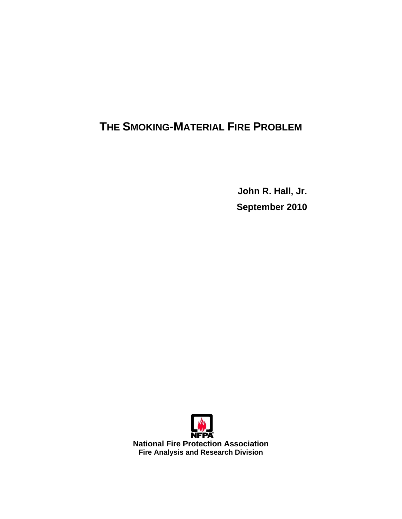# **THE SMOKING-MATERIAL FIRE PROBLEM**

**John R. Hall, Jr. September 2010** 

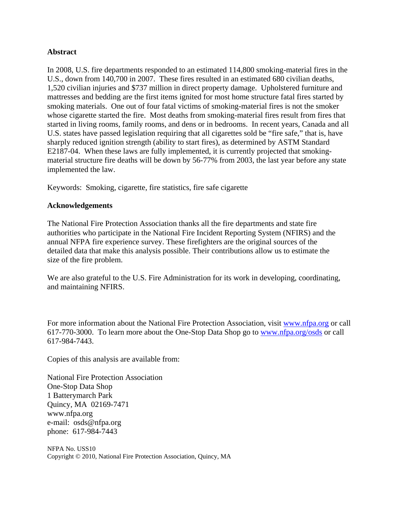#### **Abstract**

In 2008, U.S. fire departments responded to an estimated 114,800 smoking-material fires in the U.S., down from 140,700 in 2007. These fires resulted in an estimated 680 civilian deaths, 1,520 civilian injuries and \$737 million in direct property damage. Upholstered furniture and mattresses and bedding are the first items ignited for most home structure fatal fires started by smoking materials. One out of four fatal victims of smoking-material fires is not the smoker whose cigarette started the fire. Most deaths from smoking-material fires result from fires that started in living rooms, family rooms, and dens or in bedrooms. In recent years, Canada and all U.S. states have passed legislation requiring that all cigarettes sold be "fire safe," that is, have sharply reduced ignition strength (ability to start fires), as determined by ASTM Standard E2187-04. When these laws are fully implemented, it is currently projected that smokingmaterial structure fire deaths will be down by 56-77% from 2003, the last year before any state implemented the law.

Keywords: Smoking, cigarette, fire statistics, fire safe cigarette

#### **Acknowledgements**

The National Fire Protection Association thanks all the fire departments and state fire authorities who participate in the National Fire Incident Reporting System (NFIRS) and the annual NFPA fire experience survey. These firefighters are the original sources of the detailed data that make this analysis possible. Their contributions allow us to estimate the size of the fire problem.

We are also grateful to the U.S. Fire Administration for its work in developing, coordinating, and maintaining NFIRS.

For more information about the National Fire Protection Association, visit [www.nfpa.org or](http://www.nfpa.org) call 617-770-3000. To learn more about the One-Stop Data Shop go to [www.nfpa.org/osds or](http://www.nfpa.org/osds) call 617-984-7443.

Copies of this analysis are available from:

National Fire Protection Association One-Stop Data Shop 1 Batterymarch Park Quincy, MA 02169-7471 [www.nfpa.org](http://www.nfpa.org)  e-mail: [osds@nfpa.org](mailto:osds@nfpa.org)  phone: 617-984-7443

NFPA No. USS10 Copyright © 2010, National Fire Protection Association, Quincy, MA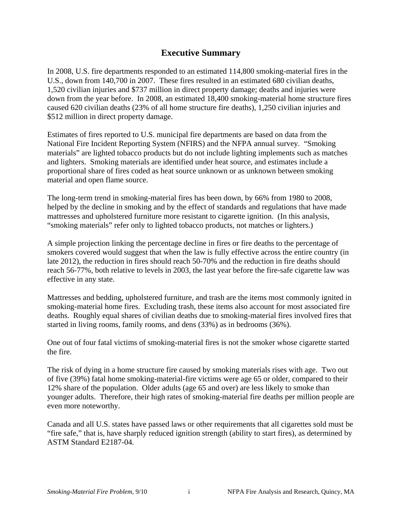### **Executive Summary**

In 2008, U.S. fire departments responded to an estimated 114,800 smoking-material fires in the U.S., down from 140,700 in 2007. These fires resulted in an estimated 680 civilian deaths, 1,520 civilian injuries and \$737 million in direct property damage; deaths and injuries were down from the year before. In 2008, an estimated 18,400 smoking-material home structure fires caused 620 civilian deaths (23% of all home structure fire deaths), 1,250 civilian injuries and \$512 million in direct property damage.

Estimates of fires reported to U.S. municipal fire departments are based on data from the National Fire Incident Reporting System (NFIRS) and the NFPA annual survey. "Smoking materials" are lighted tobacco products but do not include lighting implements such as matches and lighters. Smoking materials are identified under heat source, and estimates include a proportional share of fires coded as heat source unknown or as unknown between smoking material and open flame source.

The long-term trend in smoking-material fires has been down, by 66% from 1980 to 2008, helped by the decline in smoking and by the effect of standards and regulations that have made mattresses and upholstered furniture more resistant to cigarette ignition. (In this analysis, "smoking materials" refer only to lighted tobacco products, not matches or lighters.)

A simple projection linking the percentage decline in fires or fire deaths to the percentage of smokers covered would suggest that when the law is fully effective across the entire country (in late 2012), the reduction in fires should reach 50-70% and the reduction in fire deaths should reach 56-77%, both relative to levels in 2003, the last year before the fire-safe cigarette law was effective in any state.

Mattresses and bedding, upholstered furniture, and trash are the items most commonly ignited in smoking-material home fires. Excluding trash, these items also account for most associated fire deaths. Roughly equal shares of civilian deaths due to smoking-material fires involved fires that started in living rooms, family rooms, and dens (33%) as in bedrooms (36%).

One out of four fatal victims of smoking-material fires is not the smoker whose cigarette started the fire.

The risk of dying in a home structure fire caused by smoking materials rises with age. Two out of five (39%) fatal home smoking-material-fire victims were age 65 or older, compared to their 12% share of the population. Older adults (age 65 and over) are less likely to smoke than younger adults. Therefore, their high rates of smoking-material fire deaths per million people are even more noteworthy.

Canada and all U.S. states have passed laws or other requirements that all cigarettes sold must be "fire safe," that is, have sharply reduced ignition strength (ability to start fires), as determined by ASTM Standard E2187-04.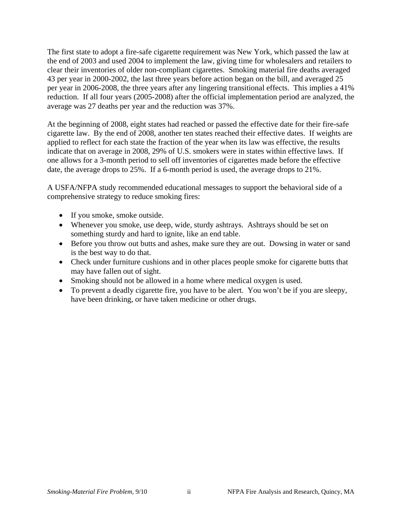The first state to adopt a fire-safe cigarette requirement was New York, which passed the law at the end of 2003 and used 2004 to implement the law, giving time for wholesalers and retailers to clear their inventories of older non-compliant cigarettes. Smoking material fire deaths averaged 43 per year in 2000-2002, the last three years before action began on the bill, and averaged 25 per year in 2006-2008, the three years after any lingering transitional effects. This implies a 41% reduction. If all four years (2005-2008) after the official implementation period are analyzed, the average was 27 deaths per year and the reduction was 37%.

At the beginning of 2008, eight states had reached or passed the effective date for their fire-safe cigarette law. By the end of 2008, another ten states reached their effective dates. If weights are applied to reflect for each state the fraction of the year when its law was effective, the results indicate that on average in 2008, 29% of U.S. smokers were in states within effective laws. If one allows for a 3-month period to sell off inventories of cigarettes made before the effective date, the average drops to 25%. If a 6-month period is used, the average drops to 21%.

A USFA/NFPA study recommended educational messages to support the behavioral side of a comprehensive strategy to reduce smoking fires:

- If you smoke, smoke outside.
- Whenever you smoke, use deep, wide, sturdy ashtrays. Ashtrays should be set on something sturdy and hard to ignite, like an end table.
- Before you throw out butts and ashes, make sure they are out. Dowsing in water or sand is the best way to do that.
- Check under furniture cushions and in other places people smoke for cigarette butts that may have fallen out of sight.
- Smoking should not be allowed in a home where medical oxygen is used.
- To prevent a deadly cigarette fire, you have to be alert. You won't be if you are sleepy, have been drinking, or have taken medicine or other drugs.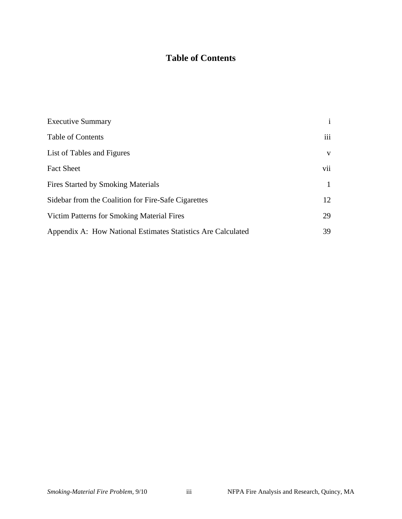## **Table of Contents**

| <b>Executive Summary</b>                                     | $\mathbf{i}$ |
|--------------------------------------------------------------|--------------|
| <b>Table of Contents</b>                                     | iii          |
| List of Tables and Figures                                   | V            |
| <b>Fact Sheet</b>                                            | vii          |
| Fires Started by Smoking Materials                           |              |
| Sidebar from the Coalition for Fire-Safe Cigarettes          | 12           |
| Victim Patterns for Smoking Material Fires                   | 29           |
| Appendix A: How National Estimates Statistics Are Calculated | 39           |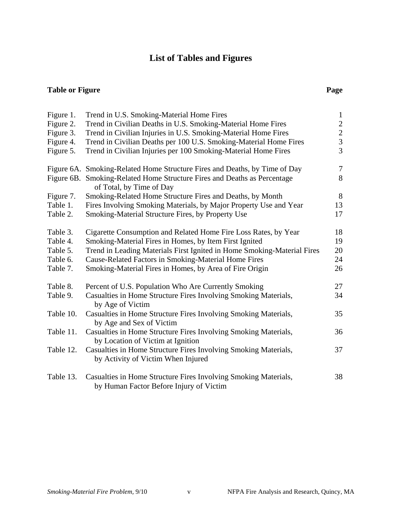# **List of Tables and Figures**

#### **Table or Figure**  Page

| Figure 1. | Trend in U.S. Smoking-Material Home Fires                                                                  | $\mathbf{1}$   |
|-----------|------------------------------------------------------------------------------------------------------------|----------------|
| Figure 2. | Trend in Civilian Deaths in U.S. Smoking-Material Home Fires                                               | $\overline{c}$ |
| Figure 3. | Trend in Civilian Injuries in U.S. Smoking-Material Home Fires                                             | $\overline{2}$ |
| Figure 4. | Trend in Civilian Deaths per 100 U.S. Smoking-Material Home Fires                                          | $\overline{3}$ |
| Figure 5. | Trend in Civilian Injuries per 100 Smoking-Material Home Fires                                             | $\overline{3}$ |
|           | Figure 6A. Smoking-Related Home Structure Fires and Deaths, by Time of Day                                 | $\tau$         |
|           | Figure 6B. Smoking-Related Home Structure Fires and Deaths as Percentage<br>of Total, by Time of Day       | 8              |
| Figure 7. | Smoking-Related Home Structure Fires and Deaths, by Month                                                  | 8              |
| Table 1.  | Fires Involving Smoking Materials, by Major Property Use and Year                                          | 13             |
| Table 2.  | Smoking-Material Structure Fires, by Property Use                                                          | 17             |
| Table 3.  | Cigarette Consumption and Related Home Fire Loss Rates, by Year                                            | 18             |
| Table 4.  | Smoking-Material Fires in Homes, by Item First Ignited                                                     | 19             |
| Table 5.  | Trend in Leading Materials First Ignited in Home Smoking-Material Fires                                    | 20             |
| Table 6.  | Cause-Related Factors in Smoking-Material Home Fires                                                       | 24             |
| Table 7.  | Smoking-Material Fires in Homes, by Area of Fire Origin                                                    | 26             |
| Table 8.  | Percent of U.S. Population Who Are Currently Smoking                                                       | 27             |
| Table 9.  | Casualties in Home Structure Fires Involving Smoking Materials,<br>by Age of Victim                        | 34             |
| Table 10. | Casualties in Home Structure Fires Involving Smoking Materials,<br>by Age and Sex of Victim                | 35             |
| Table 11. | Casualties in Home Structure Fires Involving Smoking Materials,<br>by Location of Victim at Ignition       | 36             |
| Table 12. | Casualties in Home Structure Fires Involving Smoking Materials,<br>by Activity of Victim When Injured      | 37             |
| Table 13. | Casualties in Home Structure Fires Involving Smoking Materials,<br>by Human Factor Before Injury of Victim | 38             |